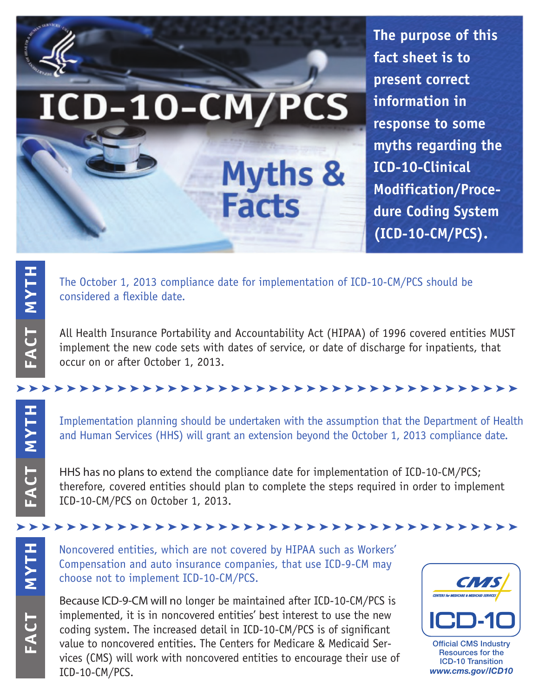

**The purpose of this fact sheet is to present correct information in response to some myths regarding the ICD-10-Clinical Modification/Procedure Coding System (ICD-10-CM/PCS).**

The October 1, 2013 compliance date for implementation of ICD-10-CM/PCS should be considered a flexible date.

All Health Insurance Portability and Accountability Act (HIPAA) of 1996 covered entities MUST implement the new code sets with dates of service, or date of discharge for inpatients, that occur on or after October 1, 2013.

#### ➤ ➤ ➤ ➤ ➤ ➤ ➤ ➤ ➤ ➤ ➤ ➤ ➤ ➤ ➤ ➤ ➤ ➤ ➤ ➤ ➤ ➤ ➤ ➤ ➤ ➤ ➤ ➤ ➤ ➤ ➤ ➤ ➤ ➤ ➤ ➤ ➤ ➤ ➤ ➤

Implementation planning should be undertaken with the assumption that the Department of Health and Human Services (HHS) will grant an extension beyond the October 1, 2013 compliance date.

HHS has no plans to extend the compliance date for implementation of ICD-10-CM/PCS; therefore, covered entities should plan to complete the steps required in order to implement ICD-10-CM/PCS on October 1, 2013.

#### ➤ ➤ ➤ ➤ ➤ ➤ ➤ ➤ ➤ ➤ ➤ ➤ ➤ ➤ ➤ ➤ ➤ ➤ ➤ ➤ ➤ ➤ ➤ ➤ ➤ ➤ ➤ ➤ ➤ ➤ ➤ ➤ ➤ ➤ ➤ ➤ ➤ ➤ ➤ ➤

FACT **MYTH** FACT

**MYTH**

**TCFA**

**MYTH**

Noncovered entities, which are not covered by HIPAA such as Workers' Compensation and auto insurance companies, that use ICD-9-CM may choose not to implement ICD-10-CM/PCS.

Because ICD-9-CM will no longer be maintained after ICD-10-CM/PCS is implemented, it is in noncovered entities' best interest to use the new coding system. The increased detail in ICD-10-CM/PCS is of significant value to noncovered entities. The Centers for Medicare & Medicaid Services (CMS) will work with noncovered entities to encourage their use of ICD-10-CM/PCS.



Official CMS Industry Resources for the ICD-10 Transition *www.cms.gov/ICD10*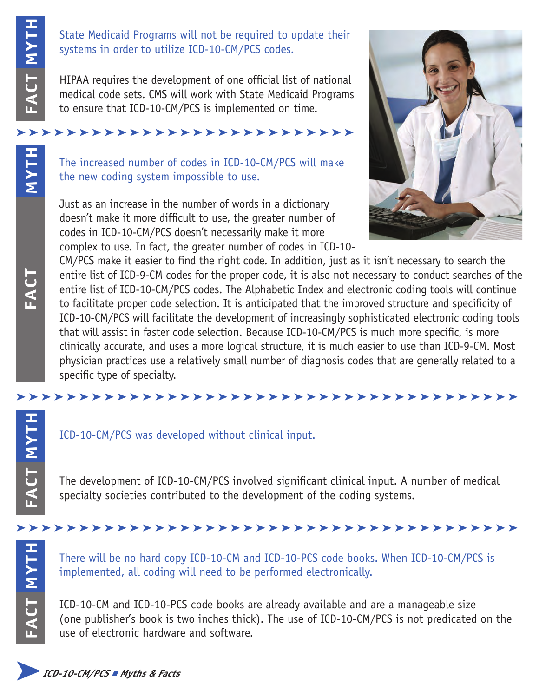**MYTH**

**FACT**

### State Medicaid Programs will not be required to update their systems in order to utilize ICD-10-CM/PCS codes.

HIPAA requires the development of one official list of national medical code sets. CMS will work with State Medicaid Programs to ensure that ICD-10-CM/PCS is implemented on time.

# ➤ ➤ ➤ ➤ ➤ ➤ ➤ ➤ ➤ ➤ ➤ ➤ ➤ ➤ ➤ ➤ ➤ ➤ ➤ ➤ ➤ ➤ ➤ ➤ ➤ ➤ ➤

The increased number of codes in ICD-10-CM/PCS will make the new coding system impossible to use.

Just as an increase in the number of words in a dictionary doesn't make it more difficult to use, the greater number of codes in ICD-10-CM/PCS doesn't necessarily make it more complex to use. In fact, the greater number of codes in ICD-10-



State Medicaid Programs<br>
systems in order to utilize<br>
medical code sets. CMS wit<br>
to ensure that ICD-10-CM/<br>
to ensure that ICD-10-CM/PCM<br>
The increased number of<br>
the new coding system in<br>
Just as an increase in the<br>
cod CM/PCS make it easier to find the right code. In addition, just as it isn't necessary to search the entire list of ICD-9-CM codes for the proper code, it is also not necessary to conduct searches of the entire list of ICD-10-CM/PCS codes. The Alphabetic Index and electronic coding tools will continue to facilitate proper code selection. It is anticipated that the improved structure and specificity of ICD-10-CM/PCS will facilitate the development of increasingly sophisticated electronic coding tools that will assist in faster code selection. Because ICD-10-CM/PCS is much more specific, is more clinically accurate, and uses a more logical structure, it is much easier to use than ICD-9-CM. Most physician practices use a relatively small number of diagnosis codes that are generally related to a specific type of specialty.

## ➤ ➤ ➤ ➤ ➤ ➤ ➤ ➤ ➤ ➤ ➤ ➤ ➤ ➤ ➤ ➤ ➤ ➤ ➤ ➤ ➤ ➤ ➤ ➤ ➤ ➤ ➤ ➤ ➤ ➤ ➤ ➤ ➤ ➤ ➤ ➤ ➤ ➤ ➤ ➤

## ICD-10-CM/PCS was developed without clinical input.

The development of ICD-10-CM/PCS involved significant clinical input. A number of medical specialty societies contributed to the development of the coding systems.

## ➤ ➤ ➤ ➤ ➤ ➤ ➤ ➤ ➤ ➤ ➤ ➤ ➤ ➤ ➤ ➤ ➤ ➤ ➤ ➤ ➤ ➤ ➤ ➤ ➤ ➤ ➤ ➤ ➤ ➤ ➤ ➤ ➤ ➤ ➤ ➤ ➤ ➤ ➤ ➤

There will be no hard copy ICD-10-CM and ICD-10-PCS code books. When ICD-10-CM/PCS is implemented, all coding will need to be performed electronically.

ICD-10-CM and ICD-10-PCS code books are already available and are a manageable size (one publisher's book is two inches thick). The use of ICD-10-CM/PCS is not predicated on the use of electronic hardware and software.

**MYTH**

**FACT**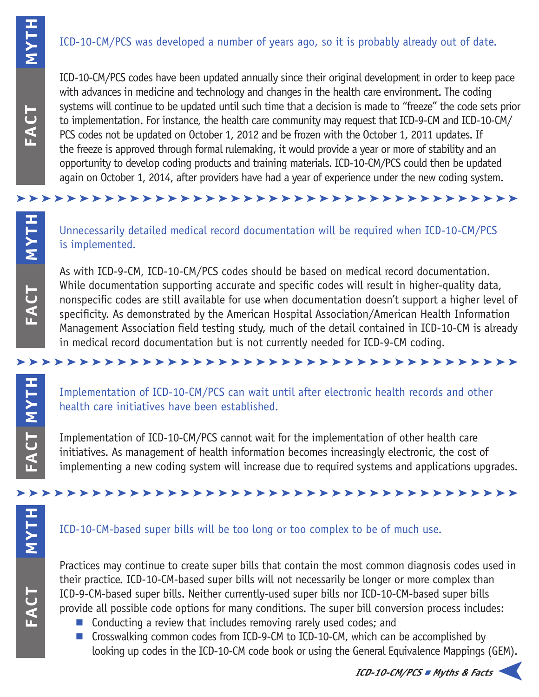## ICD-10-CM/PCS was developed a number of years ago, so it is probably already out of date.

ICD-10-CM/PCS codes have been updated annually since their original development in order to keep pace with advances in medicine and technology and changes in the health care environment. The coding systems will continue to be updated until such time that a decision is made to "freeze" the code sets prior to implementation. For instance, the health care community may request that ICD-9-CM and ICD-10-CM/ PCS codes not be updated on October 1, 2012 and be frozen with the October 1, 2011 updates. If the freeze is approved through formal rulemaking, it would provide a year or more of stability and an opportunity to develop coding products and training materials. ICD-10-CM/PCS could then be updated again on October 1, 2014, after providers have had a year of experience under the new coding system.

Unnecessarily detailed medical record documentation will be required when ICD-10-CM/PCS is implemented.

➤ ➤ ➤ ➤ ➤ ➤ ➤ ➤ ➤ ➤ ➤ ➤ ➤ ➤ ➤ ➤ ➤ ➤ ➤ ➤ ➤ ➤ ➤ ➤ ➤ ➤ ➤ ➤ ➤ ➤ ➤ ➤ ➤ ➤ ➤ ➤ ➤ ➤ ➤ ➤

As with ICD-9-CM, ICD-10-CM/PCS codes should be based on medical record documentation. While documentation supporting accurate and specific codes will result in higher-quality data, nonspecific codes are still available for use when documentation doesn't support a higher level of specificity. As demonstrated by the American Hospital Association/American Health Information Management Association field testing study, much of the detail contained in ICD-10-CM is already in medical record documentation but is not currently needed for ICD-9-CM coding.

### ➤ ➤ ➤ ➤ ➤ ➤ ➤ ➤ ➤ ➤ ➤ ➤ ➤ ➤ ➤ ➤ ➤ ➤ ➤ ➤ ➤ ➤ ➤ ➤ ➤ ➤ ➤ ➤ ➤ ➤ ➤ ➤ ➤ ➤ ➤ ➤ ➤ ➤ ➤ ➤

Implementation of ICD-10-CM/PCS can wait until after electronic health records and other health care initiatives have been established.

Implementation of ICD-10-CM/PCS cannot wait for the implementation of other health care initiatives. As management of health information becomes increasingly electronic, the cost of implementing a new coding system will increase due to required systems and applications upgrades.

## ICD-10-CM-based super bills will be too long or too complex to be of much use.

➤ ➤ ➤ ➤ ➤ ➤ ➤ ➤ ➤ ➤ ➤ ➤ ➤ ➤ ➤ ➤ ➤ ➤ ➤ ➤ ➤ ➤ ➤ ➤ ➤ ➤ ➤ ➤ ➤ ➤ ➤ ➤ ➤ ➤ ➤ ➤ ➤ ➤ ➤ ➤

Practices may continue to create super bills that contain the most common diagnosis codes used in their practice. ICD-10-CM-based super bills will not necessarily be longer or more complex than ICD-9-CM-based super bills. Neither currently-used super bills nor ICD-10-CM-based super bills provide all possible code options for many conditions. The super bill conversion process includes:

- $\blacksquare$  Conducting a review that includes removing rarely used codes; and
- Crosswalking common codes from ICD-9-CM to ICD-10-CM, which can be accomplished by looking up codes in the ICD-10-CM code book or using the General Equivalence Mappings (GEM).

➤

**MYTH**

**FACT**

**MYTH**

**FACT**

**MYTH**

**FACT**